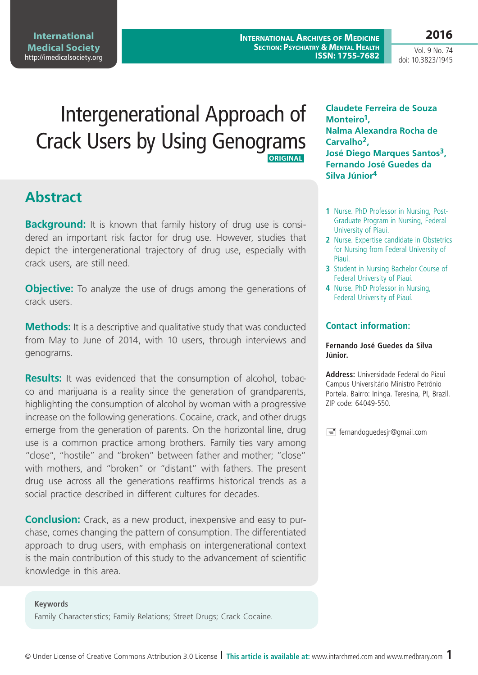**International Archives of Medicine Section: Psychiatry & Mental Health ISSN: 1755-7682**

Vol. 9 No. 74 doi: 10.3823/1945

**2016**

# Intergenerational Approach of Crack Users by Using Genograms  **Original**

# **Abstract**

**Background:** It is known that family history of drug use is considered an important risk factor for drug use. However, studies that depict the intergenerational trajectory of drug use, especially with crack users, are still need.

**Objective:** To analyze the use of drugs among the generations of crack users.

**Methods:** It is a descriptive and qualitative study that was conducted from May to June of 2014, with 10 users, through interviews and genograms.

**Results:** It was evidenced that the consumption of alcohol, tobacco and marijuana is a reality since the generation of grandparents, highlighting the consumption of alcohol by woman with a progressive increase on the following generations. Cocaine, crack, and other drugs emerge from the generation of parents. On the horizontal line, drug use is a common practice among brothers. Family ties vary among "close", "hostile" and "broken" between father and mother; "close" with mothers, and "broken" or "distant" with fathers. The present drug use across all the generations reaffirms historical trends as a social practice described in different cultures for decades.

**Conclusion:** Crack, as a new product, inexpensive and easy to purchase, comes changing the pattern of consumption. The differentiated approach to drug users, with emphasis on intergenerational context is the main contribution of this study to the advancement of scientific knowledge in this area.

#### **Keywords**

Family Characteristics; Family Relations; Street Drugs; Crack Cocaine.

**Claudete Ferreira de Souza Monteiro1, Nalma Alexandra Rocha de Carvalho2, José Diego Marques Santos3, Fernando José Guedes da Silva Júnior4**

- **1** Nurse. PhD Professor in Nursing, Post-Graduate Program in Nursing, Federal University of Piauí.
- **2** Nurse. Expertise candidate in Obstetrics for Nursing from Federal University of Piauí.
- **3** Student in Nursing Bachelor Course of Federal University of Piauí.
- **4** Nurse. PhD Professor in Nursing, Federal University of Piauí.

### **Contact information:**

### **Fernando José Guedes da Silva Júnior.**

**Address:** Universidade Federal do Piauí Campus Universitário Ministro Petrônio Portela. Bairro: Ininga. Teresina, PI, Brazil. ZIP code: 64049-550.

 $\equiv$  fernandoguedesjr@gmail.com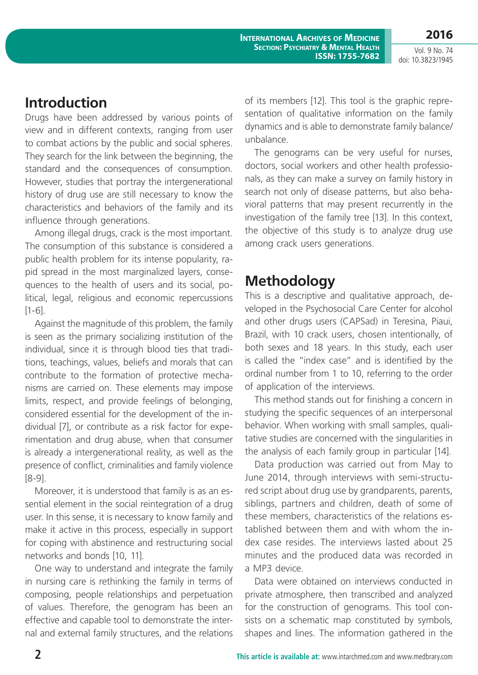**Introduction**

Drugs have been addressed by various points of view and in different contexts, ranging from user to combat actions by the public and social spheres. They search for the link between the beginning, the standard and the consequences of consumption. However, studies that portray the intergenerational history of drug use are still necessary to know the characteristics and behaviors of the family and its influence through generations.

Among illegal drugs, crack is the most important. The consumption of this substance is considered a public health problem for its intense popularity, rapid spread in the most marginalized layers, consequences to the health of users and its social, political, legal, religious and economic repercussions [1-6].

Against the magnitude of this problem, the family is seen as the primary socializing institution of the individual, since it is through blood ties that traditions, teachings, values, beliefs and morals that can contribute to the formation of protective mechanisms are carried on. These elements may impose limits, respect, and provide feelings of belonging, considered essential for the development of the individual [7], or contribute as a risk factor for experimentation and drug abuse, when that consumer is already a intergenerational reality, as well as the presence of conflict, criminalities and family violence [8-9].

Moreover, it is understood that family is as an essential element in the social reintegration of a drug user. In this sense, it is necessary to know family and make it active in this process, especially in support for coping with abstinence and restructuring social networks and bonds [10, 11].

One way to understand and integrate the family in nursing care is rethinking the family in terms of composing, people relationships and perpetuation of values. Therefore, the genogram has been an effective and capable tool to demonstrate the internal and external family structures, and the relations

of its members [12]. This tool is the graphic representation of qualitative information on the family dynamics and is able to demonstrate family balance/ unbalance.

The genograms can be very useful for nurses, doctors, social workers and other health professionals, as they can make a survey on family history in search not only of disease patterns, but also behavioral patterns that may present recurrently in the investigation of the family tree [13]. In this context, the objective of this study is to analyze drug use among crack users generations.

# **Methodology**

This is a descriptive and qualitative approach, developed in the Psychosocial Care Center for alcohol and other drugs users (CAPSad) in Teresina, Piaui, Brazil, with 10 crack users, chosen intentionally, of both sexes and 18 years. In this study, each user is called the "index case" and is identified by the ordinal number from 1 to 10, referring to the order of application of the interviews.

This method stands out for finishing a concern in studying the specific sequences of an interpersonal behavior. When working with small samples, qualitative studies are concerned with the singularities in the analysis of each family group in particular [14].

Data production was carried out from May to June 2014, through interviews with semi-structured script about drug use by grandparents, parents, siblings, partners and children, death of some of these members, characteristics of the relations established between them and with whom the index case resides. The interviews lasted about 25 minutes and the produced data was recorded in a MP3 device.

Data were obtained on interviews conducted in private atmosphere, then transcribed and analyzed for the construction of genograms. This tool consists on a schematic map constituted by symbols, shapes and lines. The information gathered in the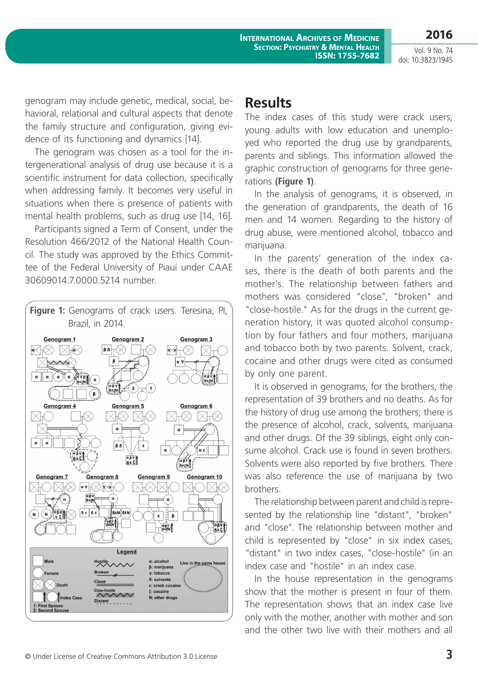**International Archives of Medicine Section: Psychiatry & Mental Health ISSN: 1755-7682**

Vol. 9 No. 74 doi: 10.3823/1945

**2016**

genogram may include genetic, medical, social, behavioral, relational and cultural aspects that denote the family structure and configuration, giving evidence of its functioning and dynamics [14].

The genogram was chosen as a tool for the intergenerational analysis of drug use because it is a scientific instrument for data collection, specifically when addressing family. It becomes very useful in situations when there is presence of patients with mental health problems, such as drug use [14, 16].

Participants signed a Term of Consent, under the Resolution 466/2012 of the National Health Council. The study was approved by the Ethics Committee of the Federal University of Piauí under CAAE 30609014.7.0000.5214 number.



### **Results**

The index cases of this study were crack users, young adults with low education and unemployed who reported the drug use by grandparents, parents and siblings. This information allowed the graphic construction of genograms for three generations **(Figure 1)**.

In the analysis of genograms, it is observed, in the generation of grandparents, the death of 16 men and 14 women. Regarding to the history of drug abuse, were mentioned alcohol, tobacco and marijuana.

In the parents' generation of the index cases, there is the death of both parents and the mother's. The relationship between fathers and mothers was considered "close", "broken" and "close-hostile." As for the drugs in the current generation history, it was quoted alcohol consumption by four fathers and four mothers, marijuana and tobacco both by two parents. Solvent, crack, cocaine and other drugs were cited as consumed by only one parent.

It is observed in genograms, for the brothers, the representation of 39 brothers and no deaths. As for the history of drug use among the brothers, there is the presence of alcohol, crack, solvents, marijuana and other drugs. Of the 39 siblings, eight only consume alcohol. Crack use is found in seven brothers. Solvents were also reported by five brothers. There was also reference the use of marijuana by two brothers.

The relationship between parent and child is represented by the relationship line "distant", "broken" and "close". The relationship between mother and child is represented by "close" in six index cases, "distant" in two index cases, "close-hostile" (in an index case and "hostile" in an index case.

In the house representation in the genograms show that the mother is present in four of them. The representation shows that an index case live only with the mother, another with mother and son and the other two live with their mothers and all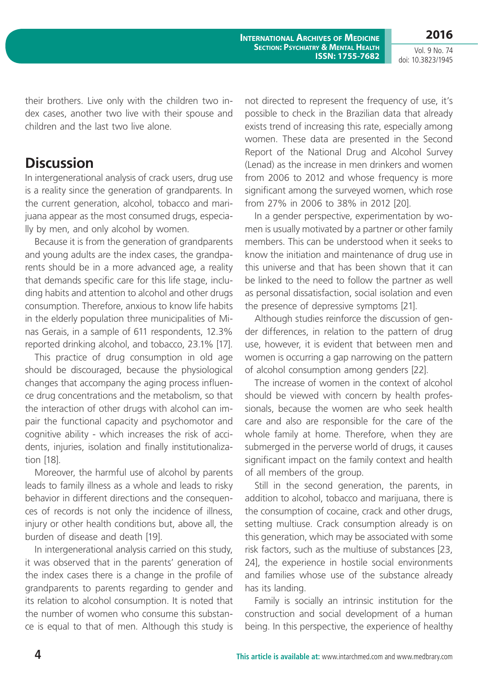**International Archives of Medicine Section: Psychiatry & Mental Health ISSN: 1755-7682**

Vol. 9 No. 74 doi: 10.3823/1945

**2016**

their brothers. Live only with the children two index cases, another two live with their spouse and children and the last two live alone.

# **Discussion**

In intergenerational analysis of crack users, drug use is a reality since the generation of grandparents. In the current generation, alcohol, tobacco and marijuana appear as the most consumed drugs, especially by men, and only alcohol by women.

Because it is from the generation of grandparents and young adults are the index cases, the grandparents should be in a more advanced age, a reality that demands specific care for this life stage, including habits and attention to alcohol and other drugs consumption. Therefore, anxious to know life habits in the elderly population three municipalities of Minas Gerais, in a sample of 611 respondents, 12.3% reported drinking alcohol, and tobacco, 23.1% [17].

This practice of drug consumption in old age should be discouraged, because the physiological changes that accompany the aging process influence drug concentrations and the metabolism, so that the interaction of other drugs with alcohol can impair the functional capacity and psychomotor and cognitive ability - which increases the risk of accidents, injuries, isolation and finally institutionalization [18].

Moreover, the harmful use of alcohol by parents leads to family illness as a whole and leads to risky behavior in different directions and the consequences of records is not only the incidence of illness, injury or other health conditions but, above all, the burden of disease and death [19].

In intergenerational analysis carried on this study, it was observed that in the parents' generation of the index cases there is a change in the profile of grandparents to parents regarding to gender and its relation to alcohol consumption. It is noted that the number of women who consume this substance is equal to that of men. Although this study is not directed to represent the frequency of use, it's possible to check in the Brazilian data that already exists trend of increasing this rate, especially among women. These data are presented in the Second Report of the National Drug and Alcohol Survey (Lenad) as the increase in men drinkers and women from 2006 to 2012 and whose frequency is more significant among the surveyed women, which rose from 27% in 2006 to 38% in 2012 [20].

In a gender perspective, experimentation by women is usually motivated by a partner or other family members. This can be understood when it seeks to know the initiation and maintenance of drug use in this universe and that has been shown that it can be linked to the need to follow the partner as well as personal dissatisfaction, social isolation and even the presence of depressive symptoms [21].

Although studies reinforce the discussion of gender differences, in relation to the pattern of drug use, however, it is evident that between men and women is occurring a gap narrowing on the pattern of alcohol consumption among genders [22].

The increase of women in the context of alcohol should be viewed with concern by health professionals, because the women are who seek health care and also are responsible for the care of the whole family at home. Therefore, when they are submerged in the perverse world of drugs, it causes significant impact on the family context and health of all members of the group.

Still in the second generation, the parents, in addition to alcohol, tobacco and marijuana, there is the consumption of cocaine, crack and other drugs, setting multiuse. Crack consumption already is on this generation, which may be associated with some risk factors, such as the multiuse of substances [23, 24], the experience in hostile social environments and families whose use of the substance already has its landing.

Family is socially an intrinsic institution for the construction and social development of a human being. In this perspective, the experience of healthy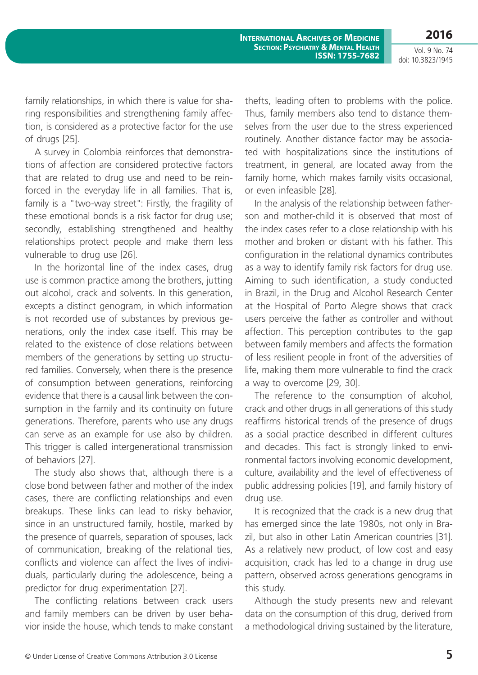**2016**

family relationships, in which there is value for sharing responsibilities and strengthening family affection, is considered as a protective factor for the use of drugs [25].

A survey in Colombia reinforces that demonstrations of affection are considered protective factors that are related to drug use and need to be reinforced in the everyday life in all families. That is, family is a "two-way street": Firstly, the fragility of these emotional bonds is a risk factor for drug use; secondly, establishing strengthened and healthy relationships protect people and make them less vulnerable to drug use [26].

In the horizontal line of the index cases, drug use is common practice among the brothers, jutting out alcohol, crack and solvents. In this generation, excepts a distinct genogram, in which information is not recorded use of substances by previous generations, only the index case itself. This may be related to the existence of close relations between members of the generations by setting up structured families. Conversely, when there is the presence of consumption between generations, reinforcing evidence that there is a causal link between the consumption in the family and its continuity on future generations. Therefore, parents who use any drugs can serve as an example for use also by children. This trigger is called intergenerational transmission of behaviors [27].

The study also shows that, although there is a close bond between father and mother of the index cases, there are conflicting relationships and even breakups. These links can lead to risky behavior, since in an unstructured family, hostile, marked by the presence of quarrels, separation of spouses, lack of communication, breaking of the relational ties, conflicts and violence can affect the lives of individuals, particularly during the adolescence, being a predictor for drug experimentation [27].

The conflicting relations between crack users and family members can be driven by user behavior inside the house, which tends to make constant thefts, leading often to problems with the police. Thus, family members also tend to distance themselves from the user due to the stress experienced routinely. Another distance factor may be associated with hospitalizations since the institutions of treatment, in general, are located away from the family home, which makes family visits occasional, or even infeasible [28].

In the analysis of the relationship between fatherson and mother-child it is observed that most of the index cases refer to a close relationship with his mother and broken or distant with his father. This configuration in the relational dynamics contributes as a way to identify family risk factors for drug use. Aiming to such identification, a study conducted in Brazil, in the Drug and Alcohol Research Center at the Hospital of Porto Alegre shows that crack users perceive the father as controller and without affection. This perception contributes to the gap between family members and affects the formation of less resilient people in front of the adversities of life, making them more vulnerable to find the crack a way to overcome [29, 30].

The reference to the consumption of alcohol, crack and other drugs in all generations of this study reaffirms historical trends of the presence of drugs as a social practice described in different cultures and decades. This fact is strongly linked to environmental factors involving economic development, culture, availability and the level of effectiveness of public addressing policies [19], and family history of drug use.

It is recognized that the crack is a new drug that has emerged since the late 1980s, not only in Brazil, but also in other Latin American countries [31]. As a relatively new product, of low cost and easy acquisition, crack has led to a change in drug use pattern, observed across generations genograms in this study.

Although the study presents new and relevant data on the consumption of this drug, derived from a methodological driving sustained by the literature,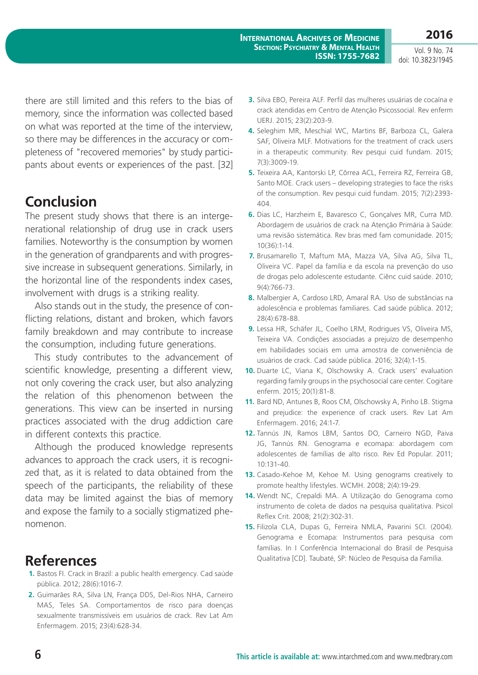**2016**

there are still limited and this refers to the bias of memory, since the information was collected based on what was reported at the time of the interview, so there may be differences in the accuracy or completeness of "recovered memories" by study participants about events or experiences of the past. [32]

# **Conclusion**

The present study shows that there is an intergenerational relationship of drug use in crack users families. Noteworthy is the consumption by women in the generation of grandparents and with progressive increase in subsequent generations. Similarly, in the horizontal line of the respondents index cases, involvement with drugs is a striking reality.

Also stands out in the study, the presence of conflicting relations, distant and broken, which favors family breakdown and may contribute to increase the consumption, including future generations.

This study contributes to the advancement of scientific knowledge, presenting a different view, not only covering the crack user, but also analyzing the relation of this phenomenon between the generations. This view can be inserted in nursing practices associated with the drug addiction care in different contexts this practice.

Although the produced knowledge represents advances to approach the crack users, it is recognized that, as it is related to data obtained from the speech of the participants, the reliability of these data may be limited against the bias of memory and expose the family to a socially stigmatized phenomenon.

# **References**

- **1.** Bastos FI. Crack in Brazil: a public health emergency. Cad saúde pública. 2012; 28(6):1016-7.
- **2.** Guimarães RA, Silva LN, França DDS, Del-Rios NHA, Carneiro MAS, Teles SA. Comportamentos de risco para doenças sexualmente transmissíveis em usuários de crack. Rev Lat Am Enfermagem. 2015; 23(4):628-34.
- **3.** Silva EBO, Pereira ALF. Perfil das mulheres usuárias de cocaína e crack atendidas em Centro de Atenção Psicossocial. Rev enferm UERJ. 2015; 23(2):203-9.
- **4.** Seleghim MR, Meschial WC, Martins BF, Barboza CL, Galera SAF, Oliveira MLF. Motivations for the treatment of crack users in a therapeutic community. Rev pesqui cuid fundam. 2015; 7(3):3009-19.
- **5.** Teixeira AA, Kantorski LP, Côrrea ACL, Ferreira RZ, Ferreira GB, Santo MOE. Crack users – developing strategies to face the risks of the consumption. Rev pesqui cuid fundam. 2015; 7(2):2393- 404.
- **6.** Dias LC, Harzheim E, Bavaresco C, Gonçalves MR, Curra MD. Abordagem de usuários de crack na Atenção Primária à Saúde: uma revisão sistemática. Rev bras med fam comunidade. 2015; 10(36):1-14.
- **7.** Brusamarello T, Maftum MA, Mazza VA, Silva AG, Silva TL, Oliveira VC. Papel da família e da escola na prevenção do uso de drogas pelo adolescente estudante. Ciênc cuid saúde. 2010; 9(4):766-73.
- **8.** Malbergier A, Cardoso LRD, Amaral RA. Uso de substâncias na adolescência e problemas familiares. Cad saúde pública. 2012; 28(4):678-88.
- **9.** Lessa HR, Schäfer JL, Coelho LRM, Rodrigues VS, Oliveira MS, Teixeira VA. Condições associadas a prejuízo de desempenho em habilidades sociais em uma amostra de conveniência de usuários de crack. Cad saúde pública. 2016; 32(4):1-15.
- **10.** Duarte LC, Viana K, Olschowsky A. Crack users' evaluation regarding family groups in the psychosocial care center. Cogitare enferm. 2015; 20(1):81-8.
- **11.** Bard ND, Antunes B, Roos CM, Olschowsky A, Pinho LB. Stigma and prejudice: the experience of crack users. Rev Lat Am Enfermagem. 2016; 24:1-7.
- **12.** Tannús JN, Ramos LBM, Santos DO, Carneiro NGD, Paiva JG, Tannús RN. Genograma e ecomapa: abordagem com adolescentes de famílias de alto risco. Rev Ed Popular. 2011; 10:131-40.
- **13.** Casado-Kehoe M, Kehoe M. Using genograms creatively to promote healthy lifestyles. WCMH. 2008; 2(4):19-29.
- **14.** Wendt NC, Crepaldi MA. A Utilização do Genograma como instrumento de coleta de dados na pesquisa qualitativa. Psicol Reflex Crit. 2008; 21(2):302-31.
- **15.** Filizola CLA, Dupas G, Ferreira NMLA, Pavarini SCI. (2004). Genograma e Ecomapa: Instrumentos para pesquisa com famílias. In I Conferência Internacional do Brasil de Pesquisa Qualitativa [CD]. Taubaté, SP: Núcleo de Pesquisa da Família.